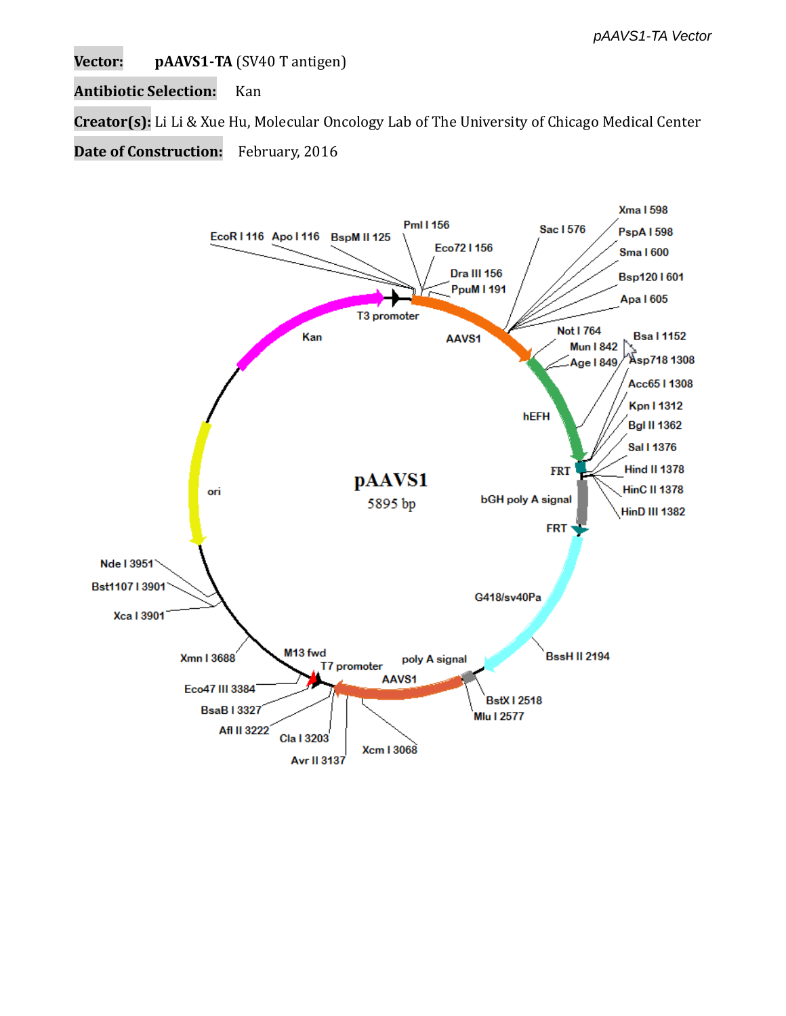**Vector: pAAVS1-TA** (SV40 T antigen)

**Antibiotic Selection:** Kan

**Creator(s):** Li Li & Xue Hu, Molecular Oncology Lab of The University of Chicago Medical Center

**Date of Construction:** February, 2016

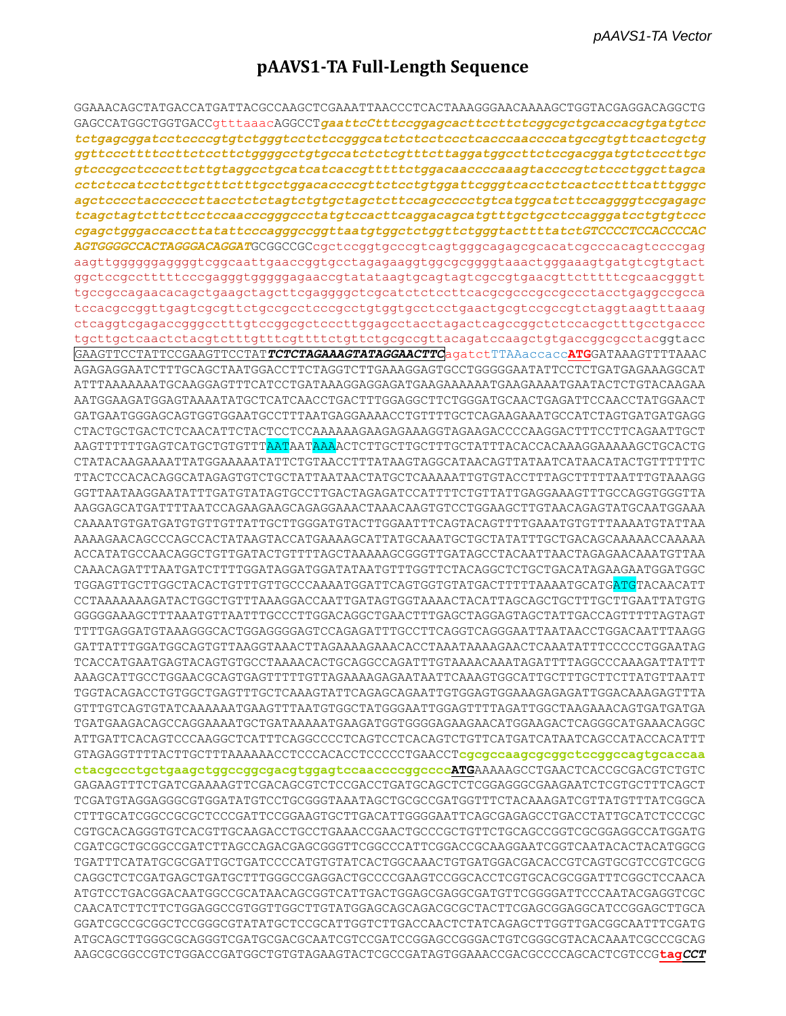# pAAVS1-TA Full-Length Sequence

GGAAACAGCTATGACCATGATTACGCCAAGCTCGAAATTAACCCTCACTAAAGGGAACAAAAGCTGGTACGAGGACAGGCTG GAGCCATGGCTGGTGACCgtttaaacAGGCCTgaattcCtttccggagcacttccttctcggcgctgcaccacgtgatgtcc ggttcccttttccttctccttctggggcctgtgccatctctcgtttcttaggatggccttctccgacggatgtctcccttgc gtcccgcctccccttcttgtaggcctgcatcatcaccgtttttctggacaaccccaaagtaccccgtctccctggcttagca cctctccatcctttgctttctttgcctggacaccccgttctcctgtggattcgggtcacctctcactcctttcatttgggc ageteeectaeeeeecttaeetetetagtetgtgetagetetteeageeeeetgteatggeatetteeaggggteegagage tcagctagtcttcttcctccaacccgggccctatgtccacttcaggacagcatgtttgctgcctccagggatcctgtgtccc cgagctgggaccaccttatattcccagggccggttaatgtggctctggttctgggtacttttatctGTCCCCTCCACCCCAC AGTGGGGCCACTAGGGACAGGATGCGGCCGCcgctccggtgcccgtcagtgggcagagcgcacatcgcccacagtccccgag aagttggggggggggtcggcaattgaaccggtgcctagagaaggtggcgcggggtaaactgggaaagtgatgtcgtgtact ggctccgcctttttcccgagggtgggggagaaccgtatataagtgcagtagtcgccgtgaacgttctttttcgcaacgggtt tccacgccggttgagtcgcgttctgccgcctcccgcctgtggtgcctcctgaactgcgtccgccgtctaggtaagtttaaag tgcttgctcaactctacgtctttgtttcgttttctgttctgcgccgttacagatccaagctgtgaccggcgcctacggtacc GAAGTTCCTATTCCGAAGTTCCTATTCTCTAGAAAGTATAGGAACTTCagatctTTAAaccaccATGGATAAAGTTTTAAAC AGAGAGGAATCTTTGCAGCTAATGGACCTTCTAGGTCTTGAAAGGAGTGCCTGGGGGAATATTCCTCTGATGAGAAAGGCAT ATTTAAAAAAATGCAAGGAGTTTCATCCTGATAAAGGAGGAGATGAAGAAAAATGAAGAAAATGAATACTCTGTACAAGAA AATGGAAGATGGAGTAAAATATGCTCATCAACCTGACTTTGGAGGCTTCTGGGATGCAACTGAGATTCCAACCTATGGAACT GATGAATGGGAGCAGTGGTGGAATGCCTTTAATGAGGAAAACCTGTTTTGCTCAGAAGAAATGCCATCTAGTGATGATGAGG CTACTGCTGACTCTCAACATTCTACTCCTCCAAAAAAGAAGAAAGGTAGAAGACCCCAAGGACTTTCCTTCAGAATTGCT CTATACAAGAAAATTATGGAAAAATATTCTGTAACCTTTATAAGTAGGCATAACAGTTATAATCATAACATACTGTTTTTTC TTACTCCACACAGGCATAGAGTGTCTGCTATTAATAACTATGCTCAAAAATTGTGTACCTTTAGCTTTTTAATTTGTAAAGG GGTTAATAAGGAATATTTGATGTATAGTGCCTTGACTAGAGATCCATTTTCTGTTATTGAGGAAAGTTTGCCAGGTGGGTTA AAGGAGCATGATTTTAATCCAGAAGAAGCAGAGGAAACTAAACAAGTGTCCTGGAAGCTTGTAACAGAGTATGCAATGGAAA CAAAATGTGATGATGTTGTTGTTATTGCTTGGGATGTACTTGGAATTTCAGTACAGTTTTGAAATGTGTTTAAAATGTATTAA AAAAGAACAGCCAGCCACTATAAGTACCATGAAAAGCATTATGCAAATGCTGCTATATTTGCTGACAGCAAAAACCAAAAA ACCATATGCCAACAGGCTGTTGATACTGTTTTAGCTAAAAAGCGGGTTGATAGCCTACAATTAACTAGAGAACAAATGTTAA TGGAGTTGCTTGGCTACACTGTTTGTTGCCCAAAATGGATTCAGTGGTGTATGACTTTTTAAAATGCATG<mark>ATG</mark>TACAACATT CCTAAAAAAAGATACTGGCTGTTTAAAGGACCAATTGATAGTGGTAAAACTACATTAGCAGCTGCTTTGCTTGAATTATGTG GGGGGAAAGCTTTAAATGTTAATTTGCCCTTGGACAGGCTGAACTTTGAGCTAGGAGTAGCTATTGACCAGTTTTTAGTAGT TTTTGAGGATGTAAAGGGCACTGGAGGGGAGTCCAGAGATTTGCCTTCAGGTCAGGGAATTAATAACCTGGACAATTTAAGG TCACCATGAATGAGTACAGTGTGCCTAAAACACTGCAGGCCAGATTTGTAAAACAAATAGATTTTAGGCCCAAAGATTATTT AAAGCATTGCCTGGAACGCAGTGAGTTTTTGTTAGAAAAGAGAATAATTCAAAGTGGCATTGCTTTGCTTCTTATGTTAATT TGGTACAGACCTGTGGCTGAGTTTGCTCAAAGTATTCAGAGCAGAATTGTGGAGTGGAAAGAGAGTTGGACAAAGAGTTTA GTTTGTCAGTGTATCAAAAAATGAAGTTTAATGTGGCTATGGGAATTGGAGTTTTAGATTGGCTAAGAAACAGTGATGATGA TGATGAAGACAGCCAGGAAAATGCTGATAAAAATGAAGATGGTGGGGAGAAGAACATGGAAGACTCAGGGCATGAAACAGGC ATTGATTCACAGTCCCAAGGCTCATTTCAGGCCCCTCAGTCCTCACAGTCTTTCATGATCATAATCAGCCATACCACATTT GTAGAGGTTTTACTTGCTTTAAAAAACCTCCCACACCTCCCCCTGAACCTcgcgccaagcgcggctccggccagtgcaccaa ctacgccctgctgaagctggccggcgacgtggagtccaaccccggccccATGAAAAAGCCTGAACTCACCGCGACGTCTGTC GAGAAGTTTCTGATCGAAAAGTTCGACAGCGTCTCCGACCTGATGCAGCTCTCGGAGGGCGAAGAATCTCGTGCTTTCAGCT TCGATGTAGGAGGGCGTGGATATGTCCTGCGGGTAAATAGCTGCGCCGATGGTTTCTACAAAGATCGTTATGTTTATCGGCA CTTTGCATCGGCCGCGCTCCCGATTCCGGAAGTGCTTGACATTGGGGAATTCAGCGAGAGCCTGACCTATTGCATCTCCCGC CGTGCACAGGGTGTCACGTTGCAAGACCTGCCTGAAACCGAACTGCCCGCTGTTCTGCAGCCGGTCGCGGAGGCCATGGATG CGATCGCTGCGGCCGATCTTAGCCAGACGAGCGGGTTCGGCCCATTCGGACCGCAAGGAATCGGTCAATACACTACATGGCG CAGGCTCTCGATGAGCTGATGCTTTGGGCCGAGGACTGCCCCGAAGTCCGGCACCTCGTGCACGCGGATTTCGGCTCCAACA ATGTCCTGACGGACAATGGCCGCATAACAGCGGTCATTGACTGGAGCGAGGCGATGTTCGGGGATTCCCAATACGAGGTCGC CAACATCTTCTTCTGGAGGCCGTGGTTGGCTTGTATGGAGCAGCAGACGCGTACTTCGAGCGGAGGCATCCGGAGCTTGCA GGATCGCCGCGCTCCGGGCGTATATGCTCCGCATTGGTCTTGACCAACTCTATCAGAGCTTGGTTGACGGCAATTTCGATG ATGCAGCTTGGGCGCAGGGTCGATGCGACGCAATCCTCCGATCCGGAGCCGGGACTGTCGGGCGTACACAAATCGCCCGCAG AAGCGCGGCCGTCTGGACCGATGGCTGTGTAGAAGTACTCGCCGATAGTGGAAACCGACGCCCCAGCACTCGTCCGtagCCT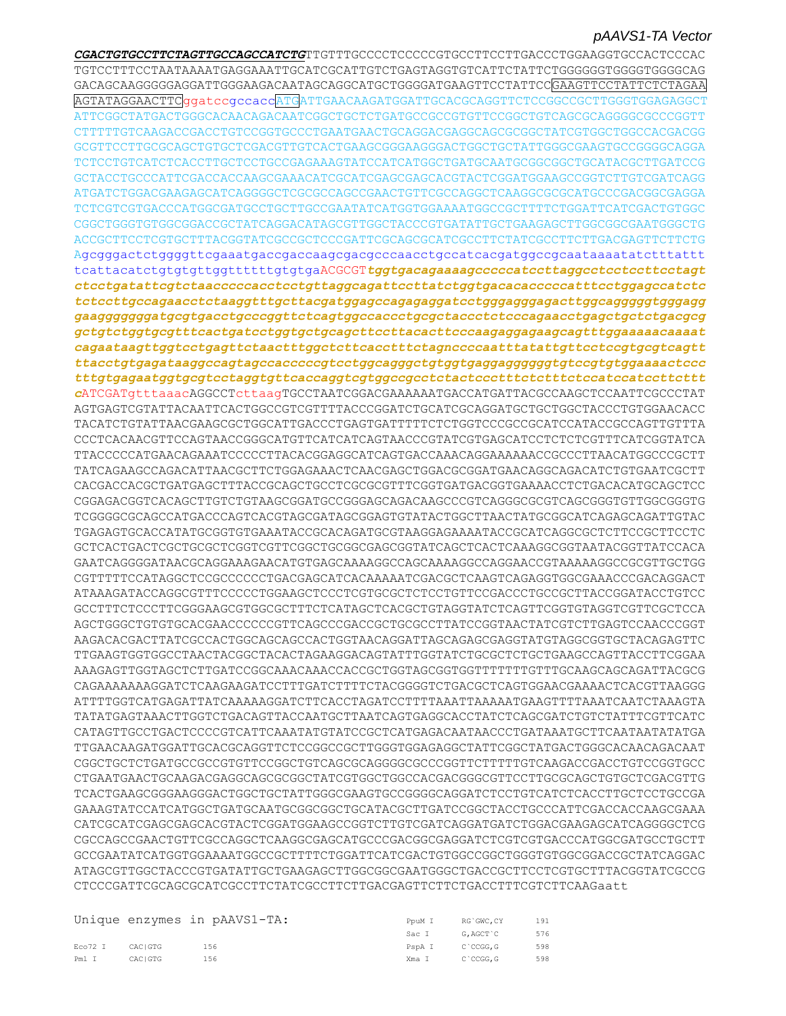TGTCCTTTCCTAATAAAATGAGGAAATTGCATCGCATTGTCTGAGTAGGTGTCATTCTATTCTGGGGGGTGGGGTGGGCAG GACAGCAAGGGGGAGGATTGGGAAGACAATAGCAGGCATGCTGGGGATGAAGTTCCTATTCCGAAGTTCCTATTCTCTAGAA AGTATAGGAACTTCGgatccgccaccATGATTGAACAAGATGGATTGCACGCAGGTTCTCCGGCCGCTTGGGTGGAGAGGCT ATTCGGCTATGACTGGGCACAACAGACAATCGGCTGCTCTGATGCCGCCGTGTTCCGGCTGTCAGCGCAGGGGCCCCGGTT GCGTTCCTTGCGCAGCTGTGCTCGACGTTGTCACTGAAGCGGGAAGGGACTGGCTGCTATTGGGCGAAGTGCCGGGGCAGGA TCTCCTGTCATCTCACCTTGCTCCTGCCGAGAAAGTATCCATCATGGCTGATGCAATGCGGCGCTGCATACGCTTGATCCG ATGATCTGGACGAAGAGCATCAGGGGCTCGCGCCAGCCGAACTGTTCGCCAGGCTCAAGGCGCGCATGCCCGACGGCGAGGA TCTCGTCGTGACCCATGGCGATGCCTGCTTGCCGAATATCATGGTGGAAAATGGCCGCTTTTCTGGATTCATCGACTGTGGC CGGCTGGGTGTGGCGGACCGCTATCAGGACATAGCGTTGGCTACCCGTGATATTGCTGAAGAGCTTGGCGCGAATGGGCTG ACCGCTTCCTCGTGCTTTACGGTATCGCCGCTCCCGATTCGCAGCGCATCGCCTTCTATCGCCTTCTTGACGAGTTCTTCTG Agcgggactctggggttcgaaatgaccgaccaagcgacgcccaacctgccatcacgatggccgcaataaaatatctttattt ctcctgatattcgtctaacccccacctcctgttaggcagattccttatctggtgacacacccccatttcctggagccatctc gaagggggggatgcgtgacctgcccggttctcagtggccaccctgcgctaccctctcccagaacctgagctgctctgacgcg gctgtctggtgcgtttcactgatcctggtgctgcagcttccttacacttcccaagaggagaagcagtttggaaaaacaaaat cagaataagttggtcctgagttctaactttggctcttcacctttctagnccccaatttatattgttcctccgtgcgtcagtt ttacctgtgagataaggccagtagccaccccgtcctggcagggctgtggtgaggagggggtgtccgtgtggaaaactccc cATCGATqtttaaacAGGCCTcttaaqTGCCTAATCGGACGAAAAAATGACCATGATTACGCCAAGCTCCAATTCGCCCTAT AGTGAGTCGTATTACAATTCACTGGCCGTCGTTTTACCCGGATCTGCATCGCAGGATGCTGCTGGCTACCCTGGAACACC TACATCTGTATTAACGAAGCGCTGGCATTGACCCTGAGTGATTTTTCTCTGGTCCCGCCGCATCCATACCGCCAGTTGTTTA TTACCCCCATGAACAGAAATCCCCCTTACACGGAGGCATCAGTGACCAAACAGGAAAAAACCGCCCTTAACATGGCCCGCTT TATCAGAAGCCAGACATTAACGCTTCTGGAGAAACTCAACGAGCTGGACGCGGATGAACAGGCAGACATCTGTGAATCGCTT CACGACCACGCTGATGAGCTTTACCGCAGCTGCCTCGCGCGTTTCGGTGATGACGGTGAAAACCTCTGACACATGCAGCTCC CGGAGACGGTCACAGCTTGTCTGTAAGCGGATGCCGGGAGCAGACAAGCCCGTCAGGGCGCGTCAGCGGGTGTTGGCGGGTG TCGGGGCCCAGCCATGACCCAGTCACGTAGCGATAGCGGAGTGTATACTGGCTTAACTATGCGCCATCAGAGCAGATTGTAC TGAGAGTGCACCATATGCGGTGTGAAATACCGCACAGATGCGTAAGGAGAAAATACCGCATCAGGCGCTCTTCCGCTTCCTC GAATCAGGGGATAACGCAGGAAAGAACATGTGAGCAAAAGGCCAGCAAAAGGCCAGGAACCGTAAAAAGGCCGCGTTGCTGG CGTTTTTCCATAGGCTCCGCCCCCCTGACGAGCATCACAAAAATCGACGCTCAAGTCAGAGGTGGCGAAACCCGACAGGACT ATAAAGATACCAGGCGTTTCCCCCTGGAAGCTCCCTCGTGCGCTCTCCTGTTCCGACCCTGCCGCTTACCGGATACCTGTCC GCCTTTCTCCCTTCGGGAAGCGTGGCGCTTTCTCATAGCTCACGCTGTAGGTATCTCAGTTCGGTGTAGGTCGTTCGCTCCA AGCTGGGCTGTGTGCACGAACCCCCCGTTCAGCCCGACCGCTGCGCCTTATCCGGTAACTATCGTCTTGAGTCCAACCCGGT AAGACACGACTTATCGCCACTGGCAGCAGCCACTGGTAACAGGATTAGCAGAGCGAGGTATGTAGGCGGTGCTACAGAGTTC TTGAAGTGGTGGCCTAACTACGGCTACACTAGAAGGACAGTATTTGGTATCTGCGCTCTGCTGAAGCCAGTTACCTTCGGAA CAGAAAAAAAGGATCTCAAGAAGATCCTTTGATCTTTTCTACGGGGTCTGACGCTCAGTGGAACGAAAACTCACGTTAAGGG TATATGAGTAAACTTGGTCTGACAGTTACCAATGCTTAATCAGTGAGGCACCTATCTCAGCGATCTGTCTATTTCGTTCATC CATAGTTGCCTGACTCCCCGTCATTCAAATATGTATCCGCTCATGAGACAATAACCCTGATAAATGCTTCAATAATATATGA TTGAACAAGATGGATTGCACGCAGGTTCTCCGGCCGCTTGGGTGGAGAGGCTATTCGGCTATGACTGGCACAACAGACAAT TCACTGAAGCGGGAAGGGACTGGCTGCTATTGGGCGAAGTGCCGGGGCAGGATCTCCTGTCATCTCACCTTGCTCCTGCCGA GAAAGTATCCATCATGGCTGATGCAATGCGGCGGCTGCATACGCTTGATCCGGCTACCTGCCCATTCGACCACCAAGCGAAA CATCGCATCGAGCGAGCACGTACTCGGATGGAAGCCGGTCTTGTCGATCAGGATGATCTGGACGAAGAGCATCAGGGGCTCG CGCCAGCCGAACTGTTCGCCAGGCTCAAGGCGAGCATGCCCGACGGCGAGGATCTCGTCGTGACCCATGGCGATGCCTGCTT GCCGAATATCATGGTGGAAAATGGCCGCTTTTCTGGATTCATCGACTGTGGCCGGCTGGGTGTGGCGGACCGCTATCAGGAC ATAGCGTTGGCTACCCGTGATATTGCTGAAGAGCTTGGCGGCGAATGGGCTGACCGCTTCCTCGTGCTTTACGGTATCGCCG CTCCCGATTCGCAGCGCATCGCCTTCTATCGCCTTCTTGACGAGTTCTTCTGACCTTTCGTCTTCAAGaatt

|         |         | Unique enzymes in pAAVS1-TA: | PouM I         | RG`GWC.CY | - 191 |
|---------|---------|------------------------------|----------------|-----------|-------|
|         |         |                              | Sac T          | G.AGCT`C  | 576   |
| Eco72 I | CACIGTG | 156                          | PspAI C'CCGG.G |           | 598   |
| Pml I   | CACIGTG | 156                          | Xma I C'CCGG.G |           | 598   |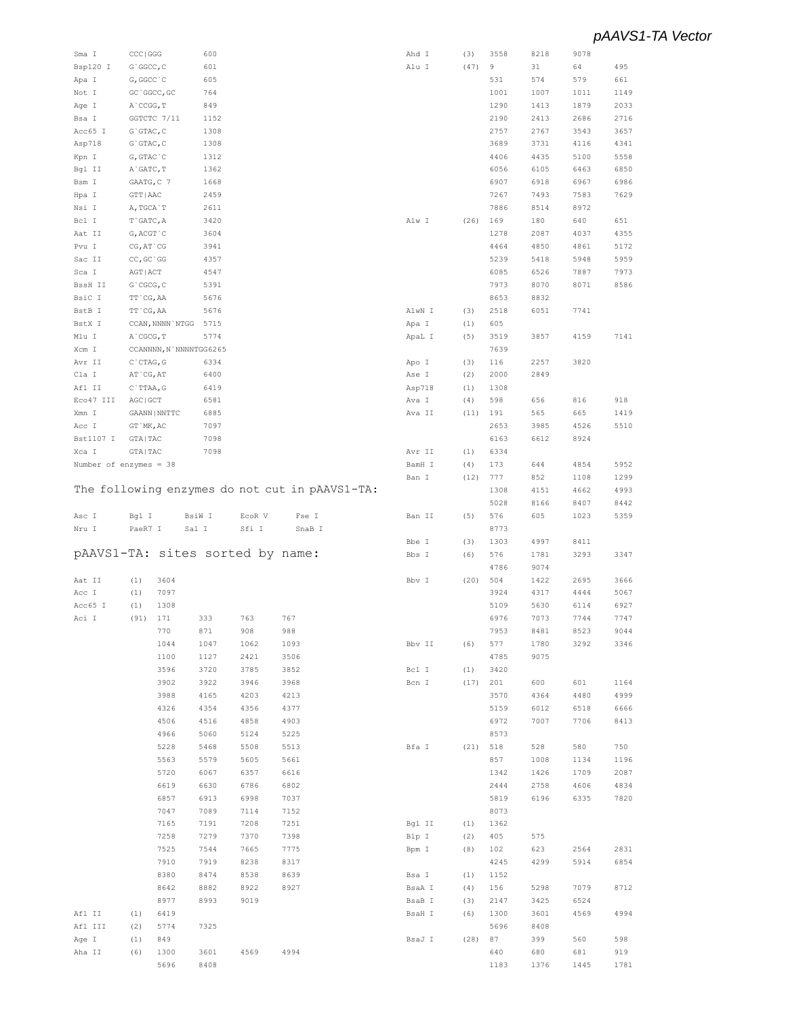| Bsp120 I                         | CCC   GGG        |                  | 600                    |        |                                                | Ahd I  | (3)  | 3558        | 8218        | 9078        |             |
|----------------------------------|------------------|------------------|------------------------|--------|------------------------------------------------|--------|------|-------------|-------------|-------------|-------------|
|                                  | G`GGCC, C        |                  | 601                    |        |                                                | Alu I  | (47) | 9           | 31          | 64          | 495         |
|                                  |                  |                  |                        |        |                                                |        |      |             |             |             |             |
| Apa I                            | G, GGCC `C       |                  | 605                    |        |                                                |        |      | 531         | 574         | 579         | 661         |
| Not I                            | GC `GGCC, GC     |                  | 764                    |        |                                                |        |      | 1001        | 1007        | 1011        | 1149        |
| Age I                            | A`CCGG, T        |                  | 849                    |        |                                                |        |      | 1290        | 1413        | 1879        | 2033        |
| Bsa I                            |                  | GGTCTC 7/11      | 1152                   |        |                                                |        |      | 2190        | 2413        | 2686        | 2716        |
|                                  |                  |                  |                        |        |                                                |        |      |             |             |             |             |
| Acc65 I                          | $G$ GTAC, $C$    |                  | 1308                   |        |                                                |        |      | 2757        | 2767        | 3543        | 3657        |
| Asp718                           | $G$ GTAC, $C$    |                  | 1308                   |        |                                                |        |      | 3689        | 3731        | 4116        | 4341        |
| Kpn I                            | G, GTAC `C       |                  | 1312                   |        |                                                |        |      | 4406        | 4435        | 5100        | 5558        |
| Bgl II                           | A`GATC, T        |                  | 1362                   |        |                                                |        |      | 6056        | 6105        | 6463        | 6850        |
|                                  |                  |                  |                        |        |                                                |        |      |             |             |             |             |
| Bsm I                            | GAATG, C 7       |                  | 1668                   |        |                                                |        |      | 6907        | 6918        | 6967        | 6986        |
| Hpa I                            | GTT   AAC        |                  | 2459                   |        |                                                |        |      | 7267        | 7493        | 7583        | 7629        |
| Nsi I                            | A, TGCA`T        |                  | 2611                   |        |                                                |        |      | 7886        | 8514        | 8972        |             |
| Bcl I                            | $T$ GATC, A      |                  | 3420                   |        |                                                | Alw I  | (26) | 169         | 180         | 640         | 651         |
|                                  |                  |                  |                        |        |                                                |        |      |             |             |             |             |
| Aat II                           | G, ACGT `C       |                  | 3604                   |        |                                                |        |      | 1278        | 2087        | 4037        | 4355        |
| Pvu I                            | CG, AT `CG       |                  | 3941                   |        |                                                |        |      | 4464        | 4850        | 4861        | 5172        |
| Sac II                           | CC, GC `GG       |                  | 4357                   |        |                                                |        |      | 5239        | 5418        | 5948        | 5959        |
|                                  |                  |                  |                        |        |                                                |        |      |             |             |             |             |
| Sca I                            | AGT   ACT        |                  | 4547                   |        |                                                |        |      | 6085        | 6526        | 7887        | 7973        |
| BssH II                          | G`CGCG, C        |                  | 5391                   |        |                                                |        |      | 7973        | 8070        | 8071        | 8586        |
| BsiC I                           | TT CG, AA        |                  | 5676                   |        |                                                |        |      | 8653        | 8832        |             |             |
| BstB I                           | TT `CG, AA       |                  | 5676                   |        |                                                | AlwN I | (3)  | 2518        | 6051        | 7741        |             |
|                                  |                  |                  |                        |        |                                                |        |      |             |             |             |             |
| BstX I                           |                  | CCAN, NNNN `NTGG | 5715                   |        |                                                | Apa I  | (1)  | 605         |             |             |             |
| Mlu I                            | A`CGCG, T        |                  | 5774                   |        |                                                | ApaL I | (5)  | 3519        | 3857        | 4159        | 7141        |
| Xcm I                            |                  |                  | CCANNNN, N`NNNNTGG6265 |        |                                                |        |      | 7639        |             |             |             |
|                                  | $C$ $CTAG$ , $G$ |                  | 6334                   |        |                                                |        | (3)  | 116         | 2257        | 3820        |             |
| Avr II                           |                  |                  |                        |        |                                                | Apo I  |      |             |             |             |             |
| Cla I                            | AT `CG, AT       |                  | 6400                   |        |                                                | Ase I  | (2)  | 2000        | 2849        |             |             |
| Afl II                           | C`TTAA, G        |                  | 6419                   |        |                                                | Asp718 | (1)  | 1308        |             |             |             |
| Eco47 III                        | AGC   GCT        |                  | 6581                   |        |                                                | Ava I  | (4)  | 598         | 656         | 816         | 918         |
| Xmn I                            |                  | GAANN   NNTTC    |                        |        |                                                | Ava II |      |             |             |             |             |
|                                  |                  |                  | 6885                   |        |                                                |        | (11) | 191         | 565         | 665         | 1419        |
| Acc I                            | GT `MK, AC       |                  | 7097                   |        |                                                |        |      | 2653        | 3985        | 4526        | 5510        |
| Bst1107 I                        | GTA   TAC        |                  | 7098                   |        |                                                |        |      | 6163        | 6612        | 8924        |             |
| Xca I                            | GTA   TAC        |                  | 7098                   |        |                                                | Avr II | (1)  | 6334        |             |             |             |
|                                  |                  |                  |                        |        |                                                |        |      |             |             |             |             |
| Number of enzymes = 38           |                  |                  |                        |        |                                                | BamH I | (4)  | 173         | 644         | 4854        | 5952        |
|                                  |                  |                  |                        |        |                                                | Ban I  | (12) | 777         | 852         | 1108        | 1299        |
|                                  |                  |                  |                        |        | The following enzymes do not cut in pAAVS1-TA: |        |      | 1308        | 4151        | 4662        | 4993        |
|                                  |                  |                  |                        |        |                                                |        |      | 5028        | 8166        | 8407        | 8442        |
|                                  |                  |                  |                        |        |                                                |        |      |             |             |             |             |
| Asc I                            | Bgl I            |                  | BsiW I                 | ECOR V | Fse I                                          | Ban II | (5)  | 576         | 605         | 1023        | 5359        |
| Nru I                            | PaeR7 I          |                  | Sal I                  | Sfi I  | SnaB I                                         |        |      | 8773        |             |             |             |
|                                  |                  |                  |                        |        |                                                |        |      |             |             |             |             |
|                                  |                  |                  |                        |        |                                                |        |      |             |             |             |             |
|                                  |                  |                  |                        |        |                                                | Bbe I  | (3)  | 1303        | 4997        | 8411        |             |
| pAAVS1-TA: sites sorted by name: |                  |                  |                        |        |                                                | Bbs I  | (6)  | 576         | 1781        | 3293        | 3347        |
|                                  |                  |                  |                        |        |                                                |        |      | 4786        | 9074        |             |             |
| Aat II                           | (1)              | 3604             |                        |        |                                                | Bbv I  | (20) | 504         | 1422        | 2695        | 3666        |
|                                  |                  |                  |                        |        |                                                |        |      |             |             |             |             |
| Acc I                            | (1)              | 7097             |                        |        |                                                |        |      | 3924        | 4317        | 4444        | 5067        |
| Acc65 I                          | (1)              | 1308             |                        |        |                                                |        |      | 5109        | 5630        | 6114        | 6927        |
| Aci I                            | (91)             | 171              | 333                    | 763    | 767                                            |        |      | 6976        | 7073        | 7744        | 7747        |
|                                  |                  |                  |                        |        |                                                |        |      |             |             |             | 9044        |
|                                  |                  | 770              | 871                    | 908    | 988                                            |        |      | 7953        | 8481        | 8523        |             |
|                                  |                  | 1044             | 1047                   | 1062   | 1093                                           | Bbv II | (6)  | 577         | 1780        | 3292        | 3346        |
|                                  |                  | 1100             | 1127                   | 2421   | 3506                                           |        |      | 4785        | 9075        |             |             |
|                                  |                  | 3596             | 3720                   | 3785   | 3852                                           | Bcl I  | (1)  | 3420        |             |             |             |
|                                  |                  |                  | 3922                   | 3946   |                                                | Bcn I  | (17) |             | 600         |             |             |
|                                  |                  | 3902             |                        |        | 3968                                           |        |      | 201         |             | 601         | 1164        |
|                                  |                  | 3988             | 4165                   | 4203   | 4213                                           |        |      | 3570        | 4364        | 4480        | 4999        |
|                                  |                  | 4326             | 4354                   | 4356   | 4377                                           |        |      | 5159        | 6012        | 6518        | 6666        |
|                                  |                  | 4506             | 4516                   | 4858   | 4903                                           |        |      | 6972        | 7007        | 7706        | 8413        |
|                                  |                  | 4966             | 5060                   | 5124   | 5225                                           |        |      | 8573        |             |             |             |
|                                  |                  |                  |                        |        |                                                |        |      |             |             |             |             |
|                                  |                  | 5228             | 5468                   | 5508   | 5513                                           | Bfa I  | (21) | 518         | 528         | 580         | 750         |
|                                  |                  | 5563             | 5579                   | 5605   | 5661                                           |        |      | 857         | 1008        | 1134        | 1196        |
|                                  |                  | 5720             | 6067                   | 6357   | 6616                                           |        |      | 1342        | 1426        | 1709        | 2087        |
|                                  |                  |                  |                        |        |                                                |        |      |             |             |             |             |
|                                  |                  | 6619             | 6630                   | 6786   | 6802                                           |        |      | 2444        | 2758        | 4606        | 4834        |
|                                  |                  | 6857             | 6913                   | 6998   | 7037                                           |        |      | 5819        | 6196        | 6335        | 7820        |
|                                  |                  | 7047             | 7089                   | 7114   | 7152                                           |        |      | 8073        |             |             |             |
|                                  |                  | 7165             | 7191                   | 7208   | 7251                                           | Bgl II | (1)  | 1362        |             |             |             |
|                                  |                  |                  |                        |        |                                                |        |      |             |             |             |             |
|                                  |                  | 7258             | 7279                   | 7370   | 7398                                           | Blp I  | (2)  | 405         | 575         |             |             |
|                                  |                  | 7525             | 7544                   | 7665   | 7775                                           | Bpm I  | (8)  | 102         | 623         | 2564        | 2831        |
|                                  |                  | 7910             | 7919                   | 8238   | 8317                                           |        |      | 4245        | 4299        | 5914        | 6854        |
|                                  |                  | 8380             | 8474                   | 8538   | 8639                                           | Bsa I  | (1)  | 1152        |             |             |             |
|                                  |                  |                  |                        |        |                                                |        |      |             |             |             |             |
|                                  |                  | 8642             | 8882                   | 8922   | 8927                                           | BsaA I | (4)  | 156         | 5298        | 7079        | 8712        |
|                                  |                  | 8977             | 8993                   | 9019   |                                                | BsaB I | (3)  | 2147        | 3425        | 6524        |             |
| Afl II                           | (1)              | 6419             |                        |        |                                                | BsaH I | (6)  | 1300        | 3601        | 4569        | 4994        |
| Afl III                          | (2)              | 5774             | 7325                   |        |                                                |        |      | 5696        | 8408        |             |             |
|                                  |                  |                  |                        |        |                                                |        |      |             |             |             |             |
| Age I                            | (1)              | 849              |                        |        |                                                | BsaJ I | (28) | 87          | 399         | 560         | 598         |
| Aha II                           | (6)              | 1300<br>5696     | 3601<br>8408           | 4569   | 4994                                           |        |      | 640<br>1183 | 680<br>1376 | 681<br>1445 | 919<br>1781 |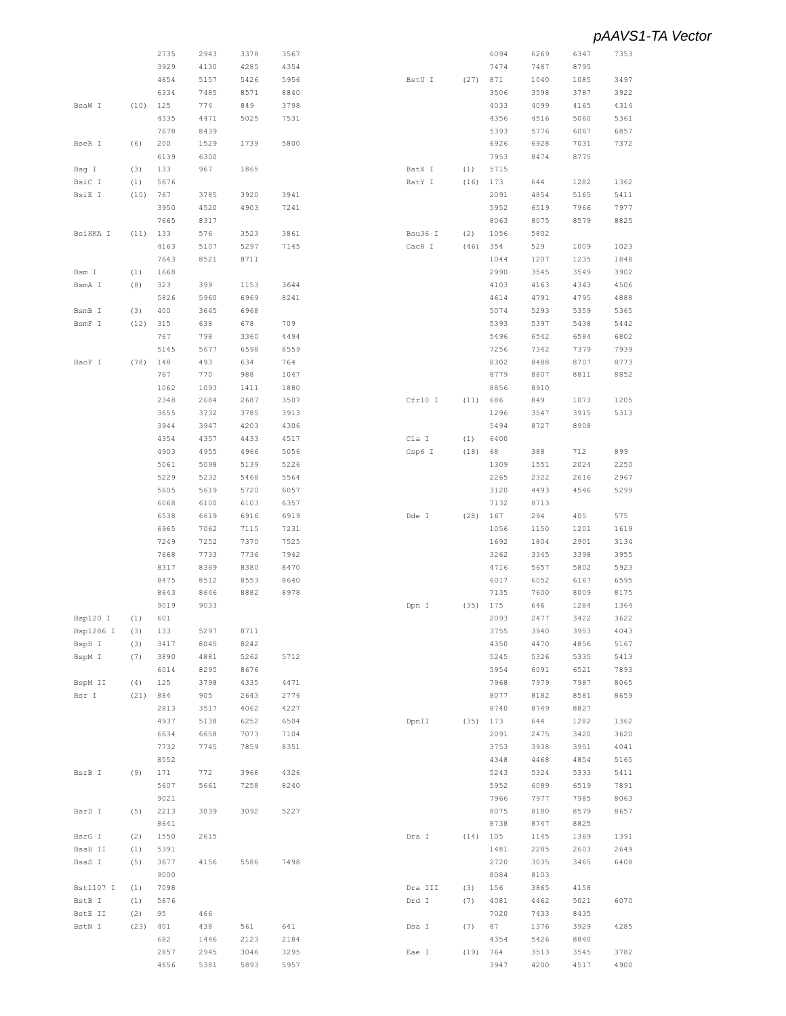|           |      | 2735 | 2943 | 3378 | 3567 |         |      | 6094 | 6269 | 6347         | 7353 |
|-----------|------|------|------|------|------|---------|------|------|------|--------------|------|
|           |      | 3929 | 4130 | 4285 | 4354 |         |      | 7474 | 7487 | 8795         |      |
|           |      | 4654 | 5157 | 5426 | 5956 | BstU I  | (27) | 871  | 1040 | 1085         | 3497 |
|           |      | 6334 | 7485 | 8571 | 8840 |         |      | 3506 | 3598 | 3787         | 3922 |
|           |      |      |      |      |      |         |      |      |      |              |      |
| BsaW I    | (10) | 125  | 774  | 849  | 3798 |         |      | 4033 | 4099 | 4165         | 4314 |
|           |      | 4335 | 4471 | 5025 | 7531 |         |      | 4356 | 4516 | 5060         | 5361 |
|           |      | 7678 | 8439 |      |      |         |      | 5393 | 5776 | 6067         | 6857 |
| BseR I    | (6)  | 200  | 1529 | 1739 | 5800 |         |      | 6926 | 6928 | 7031         | 7372 |
|           |      | 6139 | 6300 |      |      |         |      | 7953 | 8474 | 8775         |      |
| Bsg I     | (3)  | 133  | 967  | 1865 |      | BstX I  | (1)  | 5715 |      |              |      |
|           |      |      |      |      |      |         |      |      |      |              |      |
| BsiC I    | (1)  | 5676 |      |      |      | BstY I  | (16) | 173  | 644  | 1282         | 1362 |
| BsiE I    | (10) | 767  | 3785 | 3920 | 3941 |         |      | 2091 | 4854 | 5165         | 5411 |
|           |      | 3950 | 4520 | 4903 | 7241 |         |      | 5952 | 6519 | 7966         | 7977 |
|           |      | 7665 | 8317 |      |      |         |      | 8063 | 8075 | 8579         | 8825 |
| BsiHKA I  | (11) | 133  | 576  | 3523 | 3861 | Bsu36 I | (2)  | 1056 | 5802 |              |      |
|           |      | 4163 | 5107 | 5297 | 7145 | Cac8 I  | (46) | 354  | 529  | 1009         | 1023 |
|           |      |      |      |      |      |         |      |      |      |              |      |
|           |      | 7643 | 8521 | 8711 |      |         |      | 1044 | 1207 | 1235         | 1848 |
| Bsm I     | (1)  | 1668 |      |      |      |         |      | 2990 | 3545 | 3549         | 3902 |
| BsmA I    | (8)  | 323  | 399  | 1153 | 3644 |         |      | 4103 | 4163 | 4343         | 4506 |
|           |      | 5826 | 5960 | 6969 | 8241 |         |      | 4614 | 4791 | 4795         | 4888 |
| BsmB I    | (3)  | 400  | 3645 | 6968 |      |         |      | 5074 | 5293 | 5359         | 5365 |
| BsmF I    | (12) | 315  | 638  | 678  | 709  |         |      | 5393 | 5397 |              | 5442 |
|           |      |      |      |      |      |         |      |      |      | 5438         |      |
|           |      | 767  | 798  | 3360 | 4494 |         |      | 5496 | 6542 | 6584         | 6802 |
|           |      | 5145 | 5677 | 6598 | 8559 |         |      | 7256 | 7342 | 7379         | 7939 |
| BsoF I    | (78) | 148  | 493  | 634  | 764  |         |      | 8302 | 8488 | 8707         | 8773 |
|           |      | 767  | 770  | 988  | 1047 |         |      | 8779 | 8807 | 8811         | 8852 |
|           |      | 1062 | 1093 | 1411 | 1880 |         |      | 8856 | 8910 |              |      |
|           |      |      |      |      |      |         |      |      |      |              |      |
|           |      | 2348 | 2684 | 2687 | 3507 | Cfr10 I | (11) | 686  | 849  | 1073         | 1205 |
|           |      | 3655 | 3732 | 3785 | 3913 |         |      | 1296 | 3547 | 3915         | 5313 |
|           |      | 3944 | 3947 | 4203 | 4306 |         |      | 5494 | 8727 | 8908         |      |
|           |      | 4354 | 4357 | 4433 | 4517 | Cla I   | (1)  | 6400 |      |              |      |
|           |      | 4903 | 4955 | 4966 | 5056 | Csp6 I  | (18) | 68   | 388  | 712          | 899  |
|           |      |      |      |      |      |         |      |      |      |              |      |
|           |      | 5061 | 5098 | 5139 | 5226 |         |      | 1309 | 1551 | 2024         | 2250 |
|           |      | 5229 | 5232 | 5468 | 5564 |         |      | 2265 | 2322 | 2616         | 2967 |
|           |      | 5605 | 5619 | 5720 | 6057 |         |      | 3120 | 4493 | 4546         | 5299 |
|           |      | 6068 | 6100 | 6103 | 6357 |         |      | 7132 | 8713 |              |      |
|           |      | 6538 | 6619 | 6916 | 6919 | Dde I   | (28) | 167  | 294  | 405          | 575  |
|           |      | 6965 | 7062 | 7115 | 7231 |         |      | 1056 | 1150 | 1201         | 1619 |
|           |      |      |      |      |      |         |      |      |      |              |      |
|           |      | 7249 | 7252 | 7370 | 7525 |         |      | 1692 | 1804 | 2901         | 3134 |
|           |      | 7668 | 7733 | 7736 | 7942 |         |      | 3262 | 3345 | 3398         | 3955 |
|           |      | 8317 | 8369 | 8380 | 8470 |         |      | 4716 | 5657 | 5802         | 5923 |
|           |      | 8475 | 8512 | 8553 | 8640 |         |      | 6017 | 6052 | 6167         | 6595 |
|           |      | 8643 | 8646 | 8882 | 8978 |         |      | 7135 | 7600 | 8009         | 8175 |
|           |      | 9019 | 9033 |      |      | Dpn I   | (35) | 175  | 646  | 1284         | 1364 |
|           |      |      |      |      |      |         |      |      |      |              |      |
| Bsp120 I  | (1)  | 601  |      |      |      |         |      | 2093 | 2477 | 3422         | 3622 |
| Bsp1286 I | (3)  | 133  | 5297 | 8711 |      |         |      | 3755 | 3940 | 3953         | 4043 |
| BspH I    | (3)  | 3417 | 8045 | 8242 |      |         |      | 4350 | 4470 | 4856         | 5167 |
| BspM I    | (7)  | 3890 | 4881 | 5262 | 5712 |         |      | 5245 | 5326 | 5335         | 5413 |
|           |      | 6014 | 8295 | 8676 |      |         |      | 5954 | 6091 | 6521         | 7893 |
| BspM II   | (4)  | 125  | 3798 | 4335 | 4471 |         |      | 7968 | 7979 | 7987         | 8065 |
|           |      |      |      |      |      |         |      |      |      |              |      |
| Bsr I     | (21) | 884  | 905  | 2643 | 2776 |         |      | 8077 | 8182 | 8581         | 8659 |
|           |      | 2813 | 3517 | 4062 | 4227 |         |      | 8740 | 8749 | 8827         |      |
|           |      | 4937 | 5138 | 6252 | 6504 | DpnII   | (35) | 173  | 644  | 1282         | 1362 |
|           |      | 6634 | 6658 | 7073 | 7104 |         |      | 2091 | 2475 | 3420         | 3620 |
|           |      | 7732 | 7745 | 7859 | 8351 |         |      | 3753 | 3938 | 3951         | 4041 |
|           |      | 8552 |      |      |      |         |      | 4348 | 4468 | 4854         | 5165 |
|           |      |      |      |      |      |         |      |      |      |              |      |
| BsrB I    | (9)  | 171  | 772  | 3968 | 4326 |         |      | 5243 | 5324 | 5333         | 5411 |
|           |      | 5607 | 5661 | 7258 | 8240 |         |      | 5952 | 6089 | 6519         | 7891 |
|           |      | 9021 |      |      |      |         |      | 7966 | 7977 | 7985         | 8063 |
| BsrD I    | (5)  | 2213 | 3039 | 3092 | 5227 |         |      | 8075 | 8180 | 8579         | 8657 |
|           |      | 8641 |      |      |      |         |      | 8738 | 8747 | 8825         |      |
|           |      |      |      |      |      |         |      |      |      |              |      |
| BsrG I    | (2)  | 1550 | 2615 |      |      | Dra I   | (14) | 105  | 1145 | 1369         | 1391 |
| BssH II   | (1)  | 5391 |      |      |      |         |      | 1481 | 2285 | 2603         | 2649 |
| BssS I    | (5)  | 3677 | 4156 | 5586 | 7498 |         |      | 2720 | 3035 | 3465         | 6408 |
|           |      | 9000 |      |      |      |         |      | 8084 | 8103 |              |      |
| Bst1107 I | (1)  | 7098 |      |      |      | Dra III | (3)  | 156  | 3865 | 4158         |      |
|           |      |      |      |      |      |         |      | 4081 |      |              |      |
| BstB I    | (1)  | 5676 |      |      |      | Drd I   | (7)  |      | 4462 | 5021         | 6070 |
| BstE II   | (2)  | 95   | 466  |      |      |         |      | 7020 | 7433 | 8435         |      |
| BstN I    | (23) | 401  | 438  | 561  | 641  | Dsa I   | (7)  | 87   | 1376 | 3929         | 4285 |
|           |      | 682  | 1446 | 2123 | 2184 |         |      | 4354 | 5426 | $8\,8\,4\,0$ |      |
|           |      | 2857 | 2945 | 3046 | 3295 | Eae I   | (19) | 764  | 3513 | 3545         | 3782 |
|           |      | 4656 | 5381 | 5893 | 5957 |         |      | 3947 | 4200 | 4517         | 4900 |
|           |      |      |      |      |      |         |      |      |      |              |      |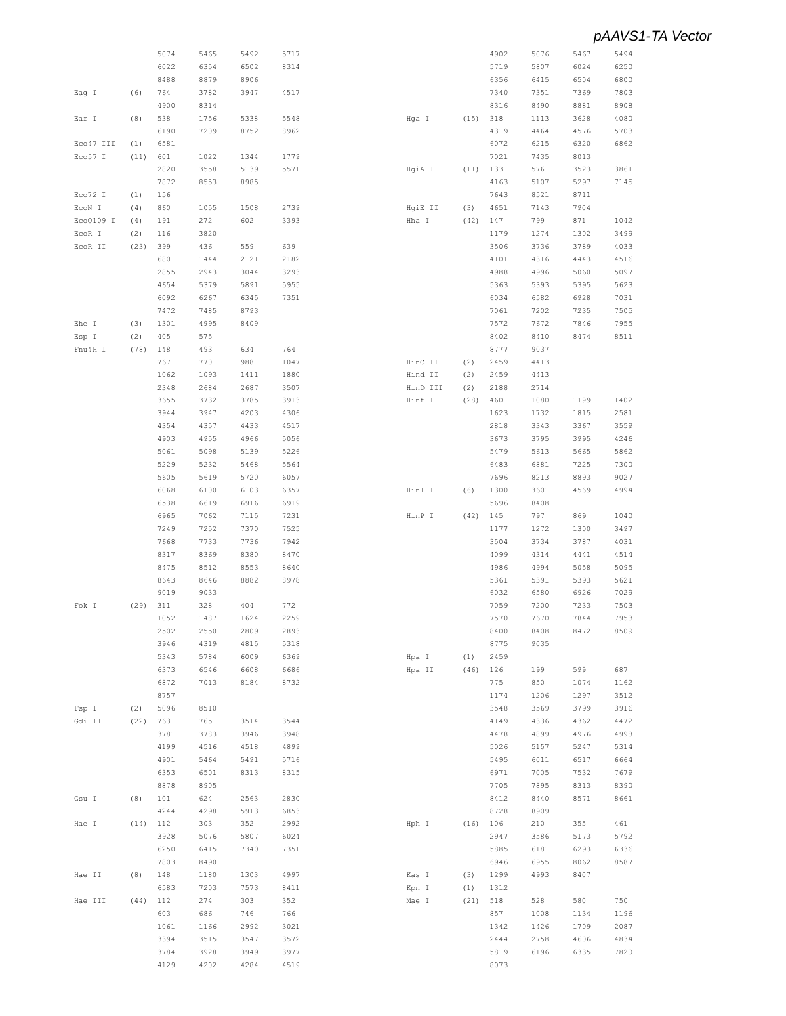|           |      | 5074 | 5465 | 5492 | 5717 |          |      | 4902 | 5076 | 5467 | 5494 |
|-----------|------|------|------|------|------|----------|------|------|------|------|------|
|           |      | 6022 | 6354 | 6502 | 8314 |          |      | 5719 | 5807 | 6024 | 6250 |
|           |      | 8488 | 8879 | 8906 |      |          |      | 6356 | 6415 | 6504 | 6800 |
| Eag I     | (6)  | 764  | 3782 | 3947 | 4517 |          |      | 7340 | 7351 | 7369 | 7803 |
|           |      | 4900 | 8314 |      |      |          |      | 8316 | 8490 | 8881 | 8908 |
|           |      |      |      |      |      |          |      |      |      |      |      |
| Ear I     | (8)  | 538  | 1756 | 5338 | 5548 | Hga I    | (15) | 318  | 1113 | 3628 | 4080 |
|           |      | 6190 | 7209 | 8752 | 8962 |          |      | 4319 | 4464 | 4576 | 5703 |
| Eco47 III | (1)  | 6581 |      |      |      |          |      | 6072 | 6215 | 6320 | 6862 |
| Eco57 I   | (11) | 601  | 1022 | 1344 | 1779 |          |      | 7021 | 7435 | 8013 |      |
|           |      | 2820 | 3558 | 5139 | 5571 | HgiA I   | (11) | 133  | 576  | 3523 | 3861 |
|           |      | 7872 | 8553 | 8985 |      |          |      | 4163 | 5107 | 5297 | 7145 |
| Eco72 I   | (1)  | 156  |      |      |      |          |      | 7643 | 8521 | 8711 |      |
| ECON I    | (4)  | 860  | 1055 | 1508 | 2739 | HgiE II  | (3)  | 4651 | 7143 | 7904 |      |
| Eco0109 I | (4)  | 191  | 272  | 602  | 3393 | Hha I    | (42) | 147  | 799  | 871  | 1042 |
| EcoR I    | (2)  | 116  | 3820 |      |      |          |      | 1179 | 1274 | 1302 | 3499 |
| ECOR II   |      | 399  | 436  | 559  | 639  |          |      | 3506 | 3736 | 3789 | 4033 |
|           | (23) |      |      |      |      |          |      |      |      |      |      |
|           |      | 680  | 1444 | 2121 | 2182 |          |      | 4101 | 4316 | 4443 | 4516 |
|           |      | 2855 | 2943 | 3044 | 3293 |          |      | 4988 | 4996 | 5060 | 5097 |
|           |      | 4654 | 5379 | 5891 | 5955 |          |      | 5363 | 5393 | 5395 | 5623 |
|           |      | 6092 | 6267 | 6345 | 7351 |          |      | 6034 | 6582 | 6928 | 7031 |
|           |      | 7472 | 7485 | 8793 |      |          |      | 7061 | 7202 | 7235 | 7505 |
| Ehe I     | (3)  | 1301 | 4995 | 8409 |      |          |      | 7572 | 7672 | 7846 | 7955 |
| Esp I     | (2)  | 405  | 575  |      |      |          |      | 8402 | 8410 | 8474 | 8511 |
| Fnu4H I   | (78) | 148  | 493  | 634  | 764  |          |      | 8777 | 9037 |      |      |
|           |      | 767  | 770  | 988  | 1047 | HinC II  | (2)  | 2459 | 4413 |      |      |
|           |      | 1062 | 1093 |      | 1880 |          |      | 2459 |      |      |      |
|           |      |      |      | 1411 |      | Hind II  | (2)  |      | 4413 |      |      |
|           |      | 2348 | 2684 | 2687 | 3507 | HinD III | (2)  | 2188 | 2714 |      |      |
|           |      | 3655 | 3732 | 3785 | 3913 | Hinf I   | (28) | 460  | 1080 | 1199 | 1402 |
|           |      | 3944 | 3947 | 4203 | 4306 |          |      | 1623 | 1732 | 1815 | 2581 |
|           |      | 4354 | 4357 | 4433 | 4517 |          |      | 2818 | 3343 | 3367 | 3559 |
|           |      | 4903 | 4955 | 4966 | 5056 |          |      | 3673 | 3795 | 3995 | 4246 |
|           |      | 5061 | 5098 | 5139 | 5226 |          |      | 5479 | 5613 | 5665 | 5862 |
|           |      | 5229 | 5232 | 5468 | 5564 |          |      | 6483 | 6881 | 7225 | 7300 |
|           |      | 5605 | 5619 | 5720 | 6057 |          |      | 7696 | 8213 | 8893 | 9027 |
|           |      | 6068 | 6100 | 6103 | 6357 | HinI I   | (6)  | 1300 | 3601 | 4569 | 4994 |
|           |      | 6538 | 6619 | 6916 | 6919 |          |      | 5696 | 8408 |      |      |
|           |      | 6965 | 7062 | 7115 | 7231 | HinP I   | (42) | 145  | 797  | 869  | 1040 |
|           |      | 7249 | 7252 | 7370 | 7525 |          |      | 1177 | 1272 |      | 3497 |
|           |      |      |      |      |      |          |      |      |      | 1300 |      |
|           |      | 7668 | 7733 | 7736 | 7942 |          |      | 3504 | 3734 | 3787 | 4031 |
|           |      | 8317 | 8369 | 8380 | 8470 |          |      | 4099 | 4314 | 4441 | 4514 |
|           |      | 8475 | 8512 | 8553 | 8640 |          |      | 4986 | 4994 | 5058 | 5095 |
|           |      | 8643 | 8646 | 8882 | 8978 |          |      | 5361 | 5391 | 5393 | 5621 |
|           |      | 9019 | 9033 |      |      |          |      | 6032 | 6580 | 6926 | 7029 |
| Fok I     | (29) | 311  | 328  | 404  | 772  |          |      | 7059 | 7200 | 7233 | 7503 |
|           |      | 1052 | 1487 | 1624 | 2259 |          |      | 7570 | 7670 | 7844 | 7953 |
|           |      | 2502 | 2550 | 2809 | 2893 |          |      | 8400 | 8408 | 8472 | 8509 |
|           |      | 3946 | 4319 | 4815 | 5318 |          |      | 8775 | 9035 |      |      |
|           |      | 5343 | 5784 | 6009 | 6369 | Hpa I    | (1)  | 2459 |      |      |      |
|           |      |      |      |      |      |          |      |      |      |      |      |
|           |      | 6373 | 6546 | 6608 | 6686 | Hpa II   | (46) | 126  | 199  | 599  | 687  |
|           |      | 6872 | 7013 | 8184 | 8732 |          |      | 775  | 850  | 1074 | 1162 |
|           |      | 8757 |      |      |      |          |      | 1174 | 1206 | 1297 | 3512 |
| Fsp I     | (2)  | 5096 | 8510 |      |      |          |      | 3548 | 3569 | 3799 | 3916 |
| Gdi II    | (22) | 763  | 765  | 3514 | 3544 |          |      | 4149 | 4336 | 4362 | 4472 |
|           |      | 3781 | 3783 | 3946 | 3948 |          |      | 4478 | 4899 | 4976 | 4998 |
|           |      | 4199 | 4516 | 4518 | 4899 |          |      | 5026 | 5157 | 5247 | 5314 |
|           |      | 4901 | 5464 | 5491 | 5716 |          |      | 5495 | 6011 | 6517 | 6664 |
|           |      | 6353 | 6501 | 8313 | 8315 |          |      | 6971 | 7005 | 7532 | 7679 |
|           |      | 8878 | 8905 |      |      |          |      | 7705 | 7895 | 8313 | 8390 |
|           |      |      |      |      |      |          |      |      |      |      |      |
| Gsu I     | (8)  | 101  | 624  | 2563 | 2830 |          |      | 8412 | 8440 | 8571 | 8661 |
|           |      | 4244 | 4298 | 5913 | 6853 |          |      | 8728 | 8909 |      |      |
| Hae I     | (14) | 112  | 303  | 352  | 2992 | Hph I    | (16) | 106  | 210  | 355  | 461  |
|           |      | 3928 | 5076 | 5807 | 6024 |          |      | 2947 | 3586 | 5173 | 5792 |
|           |      | 6250 | 6415 | 7340 | 7351 |          |      | 5885 | 6181 | 6293 | 6336 |
|           |      | 7803 | 8490 |      |      |          |      | 6946 | 6955 | 8062 | 8587 |
| Hae II    | (8)  | 148  | 1180 | 1303 | 4997 | Kas I    | (3)  | 1299 | 4993 | 8407 |      |
|           |      | 6583 | 7203 | 7573 | 8411 | Kpn I    | (1)  | 1312 |      |      |      |
| Hae III   | (44) | 112  | 274  | 303  | 352  | Mae I    | (21) | 518  | 528  | 580  | 750  |
|           |      | 603  | 686  | 746  | 766  |          |      | 857  | 1008 | 1134 | 1196 |
|           |      | 1061 | 1166 | 2992 | 3021 |          |      | 1342 | 1426 | 1709 | 2087 |
|           |      |      |      |      |      |          |      |      |      |      |      |
|           |      | 3394 | 3515 | 3547 | 3572 |          |      | 2444 | 2758 | 4606 | 4834 |
|           |      | 3784 | 3928 | 3949 | 3977 |          |      | 5819 | 6196 | 6335 | 7820 |
|           |      | 4129 | 4202 | 4284 | 4519 |          |      | 8073 |      |      |      |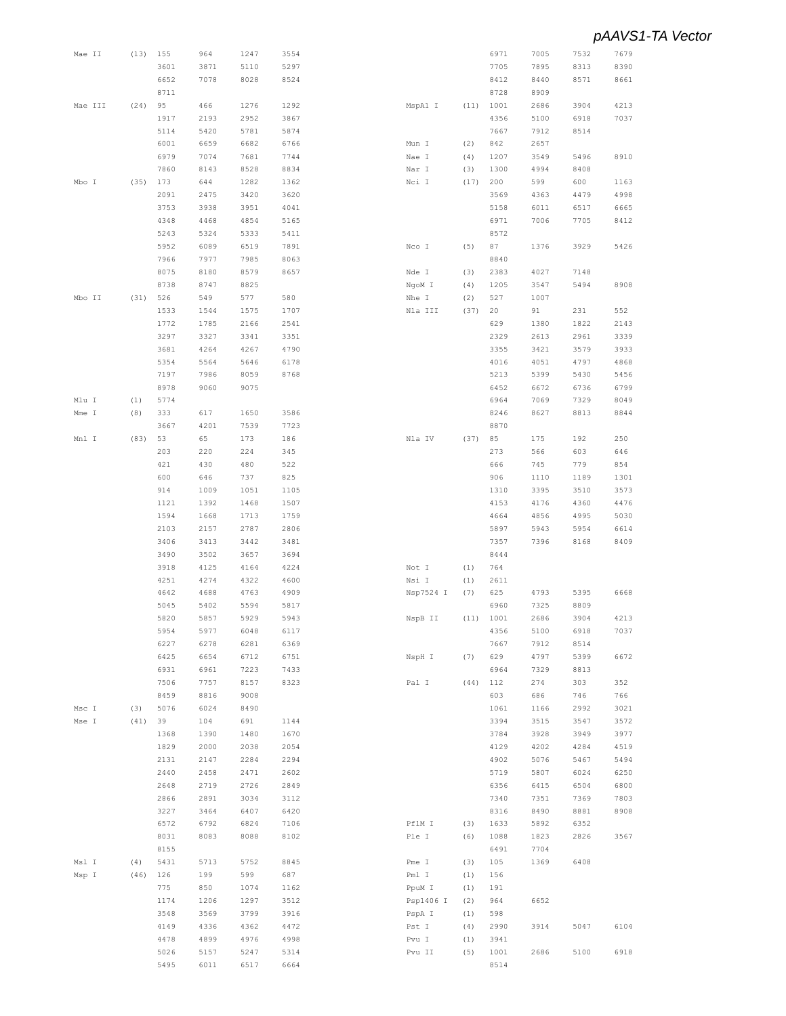| Mae II  | (13) | 155  | 964  | 1247 | 3554 |           |      | 6971 | 7005 | 7532 | 7679 |
|---------|------|------|------|------|------|-----------|------|------|------|------|------|
|         |      | 3601 | 3871 | 5110 | 5297 |           |      | 7705 | 7895 | 8313 | 8390 |
|         |      | 6652 | 7078 | 8028 | 8524 |           |      | 8412 | 8440 | 8571 | 8661 |
|         |      |      |      |      |      |           |      |      |      |      |      |
|         |      | 8711 |      |      |      |           |      | 8728 | 8909 |      |      |
| Mae III | (24) | 95   | 466  | 1276 | 1292 | MspA1 I   | (11) | 1001 | 2686 | 3904 | 4213 |
|         |      | 1917 | 2193 | 2952 | 3867 |           |      | 4356 | 5100 | 6918 | 7037 |
|         |      | 5114 | 5420 | 5781 | 5874 |           |      | 7667 | 7912 | 8514 |      |
|         |      | 6001 | 6659 | 6682 | 6766 | Mun I     | (2)  | 842  | 2657 |      |      |
|         |      | 6979 | 7074 | 7681 | 7744 | Nae I     | (4)  | 1207 | 3549 | 5496 | 8910 |
|         |      | 7860 | 8143 | 8528 | 8834 |           | (3)  | 1300 | 4994 | 8408 |      |
|         |      |      |      |      |      | Nar I     |      |      |      |      |      |
| Mbo I   | (35) | 173  | 644  | 1282 | 1362 | Nci I     | (17) | 200  | 599  | 600  | 1163 |
|         |      | 2091 | 2475 | 3420 | 3620 |           |      | 3569 | 4363 | 4479 | 4998 |
|         |      | 3753 | 3938 | 3951 | 4041 |           |      | 5158 | 6011 | 6517 | 6665 |
|         |      | 4348 | 4468 | 4854 | 5165 |           |      | 6971 | 7006 | 7705 | 8412 |
|         |      | 5243 | 5324 | 5333 | 5411 |           |      | 8572 |      |      |      |
|         |      | 5952 |      |      |      |           |      |      |      | 3929 | 5426 |
|         |      |      | 6089 | 6519 | 7891 | Nco I     | (5)  | 87   | 1376 |      |      |
|         |      | 7966 | 7977 | 7985 | 8063 |           |      | 8840 |      |      |      |
|         |      | 8075 | 8180 | 8579 | 8657 | Nde I     | (3)  | 2383 | 4027 | 7148 |      |
|         |      | 8738 | 8747 | 8825 |      | NgoM I    | (4)  | 1205 | 3547 | 5494 | 8908 |
| Mbo II  | (31) | 526  | 549  | 577  | 580  | Nhe I     | (2)  | 527  | 1007 |      |      |
|         |      | 1533 | 1544 | 1575 | 1707 | Nla III   | (37) | 20   | 91   | 231  | 552  |
|         |      |      |      |      |      |           |      |      |      |      |      |
|         |      | 1772 | 1785 | 2166 | 2541 |           |      | 629  | 1380 | 1822 | 2143 |
|         |      | 3297 | 3327 | 3341 | 3351 |           |      | 2329 | 2613 | 2961 | 3339 |
|         |      | 3681 | 4264 | 4267 | 4790 |           |      | 3355 | 3421 | 3579 | 3933 |
|         |      | 5354 | 5564 | 5646 | 6178 |           |      | 4016 | 4051 | 4797 | 4868 |
|         |      | 7197 | 7986 | 8059 | 8768 |           |      | 5213 | 5399 | 5430 | 5456 |
|         |      | 8978 | 9060 | 9075 |      |           |      | 6452 | 6672 | 6736 | 6799 |
|         |      |      |      |      |      |           |      |      |      |      |      |
| Mlu I   | (1)  | 5774 |      |      |      |           |      | 6964 | 7069 | 7329 | 8049 |
| Mme I   | (8)  | 333  | 617  | 1650 | 3586 |           |      | 8246 | 8627 | 8813 | 8844 |
|         |      | 3667 | 4201 | 7539 | 7723 |           |      | 8870 |      |      |      |
| Mnl I   | (83) | 53   | 65   | 173  | 186  | Nla IV    | (37) | 85   | 175  | 192  | 250  |
|         |      | 203  | 220  | 224  | 345  |           |      | 273  | 566  | 603  | 646  |
|         |      | 421  | 430  | 480  | 522  |           |      | 666  | 745  | 779  | 854  |
|         |      |      |      |      |      |           |      |      |      |      |      |
|         |      | 600  | 646  | 737  | 825  |           |      | 906  | 1110 | 1189 | 1301 |
|         |      | 914  | 1009 | 1051 | 1105 |           |      | 1310 | 3395 | 3510 | 3573 |
|         |      | 1121 | 1392 | 1468 | 1507 |           |      | 4153 | 4176 | 4360 | 4476 |
|         |      | 1594 | 1668 | 1713 | 1759 |           |      | 4664 | 4856 | 4995 | 5030 |
|         |      | 2103 | 2157 | 2787 | 2806 |           |      | 5897 | 5943 | 5954 | 6614 |
|         |      | 3406 | 3413 | 3442 | 3481 |           |      | 7357 | 7396 | 8168 | 8409 |
|         |      |      |      |      |      |           |      |      |      |      |      |
|         |      | 3490 | 3502 | 3657 | 3694 |           |      | 8444 |      |      |      |
|         |      | 3918 | 4125 | 4164 | 4224 | Not I     | (1)  | 764  |      |      |      |
|         |      | 4251 | 4274 | 4322 | 4600 | Nsi I     | (1)  | 2611 |      |      |      |
|         |      | 4642 | 4688 | 4763 | 4909 | Nsp7524 I | (7)  | 625  | 4793 | 5395 | 6668 |
|         |      | 5045 | 5402 | 5594 | 5817 |           |      | 6960 | 7325 | 8809 |      |
|         |      | 5820 | 5857 | 5929 | 5943 | NspB II   | (11) | 1001 | 2686 | 3904 | 4213 |
|         |      |      |      |      |      |           |      |      |      |      |      |
|         |      | 5954 | 5977 | 6048 | 6117 |           |      | 4356 | 5100 | 6918 | 7037 |
|         |      | 6227 | 6278 | 6281 | 6369 |           |      | 7667 | 7912 | 8514 |      |
|         |      | 6425 | 6654 | 6712 | 6751 | NspH I    | (7)  | 629  | 4797 | 5399 | 6672 |
|         |      | 6931 | 6961 | 7223 | 7433 |           |      | 6964 | 7329 | 8813 |      |
|         |      | 7506 | 7757 | 8157 | 8323 | Pal I     | (44) | 112  | 274  | 303  | 352  |
|         |      | 8459 | 8816 | 9008 |      |           |      | 603  | 686  | 746  | 766  |
|         |      |      |      |      |      |           |      |      |      |      |      |
| Msc I   | (3)  | 5076 | 6024 | 8490 |      |           |      | 1061 | 1166 | 2992 | 3021 |
| Mse I   | (41) | 39   | 104  | 691  | 1144 |           |      | 3394 | 3515 | 3547 | 3572 |
|         |      | 1368 | 1390 | 1480 | 1670 |           |      | 3784 | 3928 | 3949 | 3977 |
|         |      | 1829 | 2000 | 2038 | 2054 |           |      | 4129 | 4202 | 4284 | 4519 |
|         |      | 2131 | 2147 | 2284 | 2294 |           |      | 4902 | 5076 | 5467 | 5494 |
|         |      | 2440 | 2458 | 2471 | 2602 |           |      | 5719 | 5807 | 6024 | 6250 |
|         |      |      |      |      |      |           |      |      |      |      |      |
|         |      | 2648 | 2719 | 2726 | 2849 |           |      | 6356 | 6415 | 6504 | 6800 |
|         |      | 2866 | 2891 | 3034 | 3112 |           |      | 7340 | 7351 | 7369 | 7803 |
|         |      | 3227 | 3464 | 6407 | 6420 |           |      | 8316 | 8490 | 8881 | 8908 |
|         |      | 6572 | 6792 | 6824 | 7106 | PflM I    | (3)  | 1633 | 5892 | 6352 |      |
|         |      | 8031 | 8083 | 8088 | 8102 | Ple I     | (6)  | 1088 | 1823 | 2826 | 3567 |
|         |      |      |      |      |      |           |      |      |      |      |      |
|         |      | 8155 |      |      |      |           |      | 6491 | 7704 |      |      |
| Msl I   | (4)  | 5431 | 5713 | 5752 | 8845 | Pme I     | (3)  | 105  | 1369 | 6408 |      |
| Msp I   | (46) | 126  | 199  | 599  | 687  | Pml I     | (1)  | 156  |      |      |      |
|         |      | 775  | 850  | 1074 | 1162 | PpuM I    | (1)  | 191  |      |      |      |
|         |      | 1174 | 1206 | 1297 | 3512 | Psp1406 I | (2)  | 964  | 6652 |      |      |
|         |      | 3548 | 3569 | 3799 | 3916 | PspA I    | (1)  | 598  |      |      |      |
|         |      |      |      |      |      |           |      |      |      |      |      |
|         |      | 4149 | 4336 | 4362 | 4472 | Pst I     | (4)  | 2990 | 3914 | 5047 | 6104 |
|         |      | 4478 | 4899 | 4976 | 4998 | Pvu I     | (1)  | 3941 |      |      |      |
|         |      |      |      |      |      |           |      |      |      |      |      |
|         |      | 5026 | 5157 | 5247 | 5314 | Pvu II    | (5)  | 1001 | 2686 | 5100 | 6918 |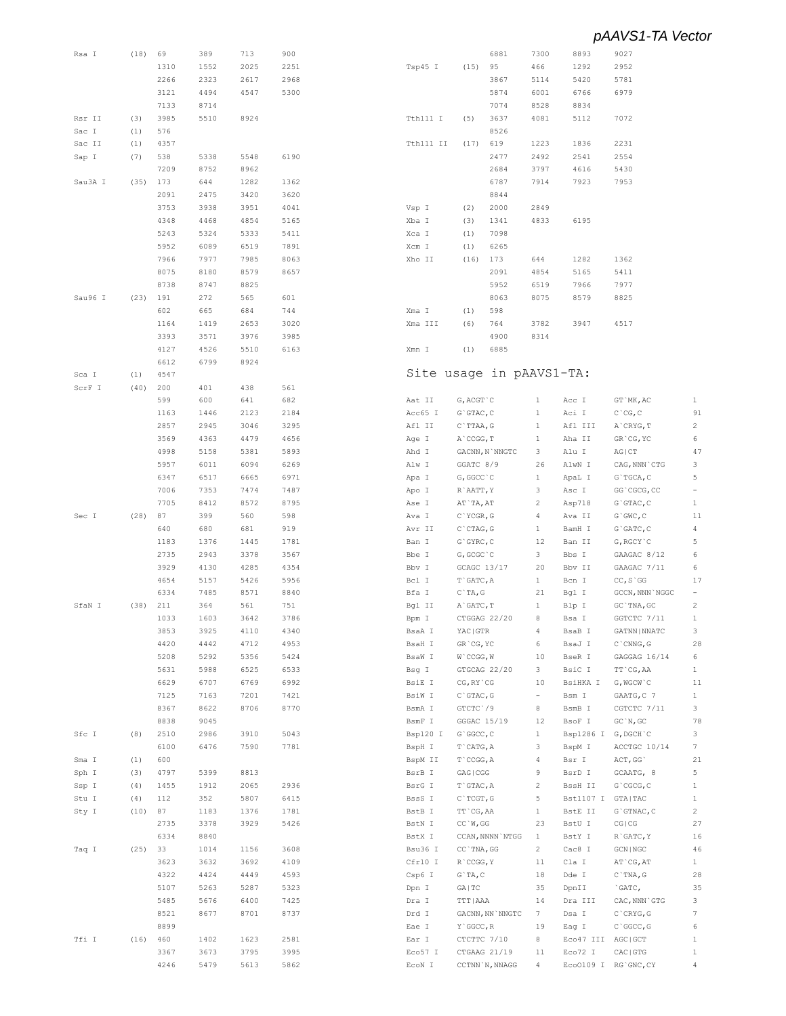| Rsa I   | (18) | 69   | 389  | 713  | 900  |                          |                  | 6881                                                   | 7300                     | 8893                | 9027                    |                         |
|---------|------|------|------|------|------|--------------------------|------------------|--------------------------------------------------------|--------------------------|---------------------|-------------------------|-------------------------|
|         |      | 1310 | 1552 | 2025 | 2251 | Tsp45 I                  | (15)             | 95                                                     | 466                      | 1292                | 2952                    |                         |
|         |      |      |      |      |      |                          |                  |                                                        |                          |                     |                         |                         |
|         |      | 2266 | 2323 | 2617 | 2968 |                          |                  | 3867                                                   | 5114                     | 5420                | 5781                    |                         |
|         |      | 3121 | 4494 | 4547 | 5300 |                          |                  | 5874                                                   | 6001                     | 6766                | 6979                    |                         |
|         |      | 7133 | 8714 |      |      |                          |                  | 7074                                                   | 8528                     | 8834                |                         |                         |
| Rsr II  | (3)  | 3985 | 5510 | 8924 |      | Tth111 I                 | (5)              | 3637                                                   | 4081                     | 5112                | 7072                    |                         |
|         |      | 576  |      |      |      |                          |                  | 8526                                                   |                          |                     |                         |                         |
| Sac I   | (1)  |      |      |      |      |                          |                  |                                                        |                          |                     |                         |                         |
| Sac II  | (1)  | 4357 |      |      |      | Tth111 II                | (17)             | 619                                                    | 1223                     | 1836                | 2231                    |                         |
| Sap I   | (7)  | 538  | 5338 | 5548 | 6190 |                          |                  | 2477                                                   | 2492                     | 2541                | 2554                    |                         |
|         |      | 7209 | 8752 | 8962 |      |                          |                  | 2684                                                   | 3797                     | 4616                | 5430                    |                         |
| Sau3A I | (35) | 173  | 644  | 1282 | 1362 |                          |                  | 6787                                                   | 7914                     | 7923                | 7953                    |                         |
|         |      |      |      |      |      |                          |                  |                                                        |                          |                     |                         |                         |
|         |      | 2091 | 2475 | 3420 | 3620 |                          |                  | 8844                                                   |                          |                     |                         |                         |
|         |      | 3753 | 3938 | 3951 | 4041 | Vsp I                    | (2)              | 2000                                                   | 2849                     |                     |                         |                         |
|         |      | 4348 | 4468 | 4854 | 5165 | Xba I                    | (3)              | 1341                                                   | 4833                     | 6195                |                         |                         |
|         |      | 5243 | 5324 | 5333 | 5411 | Xca I                    | (1)              | 7098                                                   |                          |                     |                         |                         |
|         |      | 5952 | 6089 | 6519 | 7891 | Xcm I                    | (1)              | 6265                                                   |                          |                     |                         |                         |
|         |      |      |      |      |      |                          |                  |                                                        |                          |                     |                         |                         |
|         |      | 7966 | 7977 | 7985 | 8063 | Xho II                   | (16)             | 173                                                    | 644                      | 1282                | 1362                    |                         |
|         |      | 8075 | 8180 | 8579 | 8657 |                          |                  | 2091                                                   | 4854                     | 5165                | 5411                    |                         |
|         |      | 8738 | 8747 | 8825 |      |                          |                  | 5952                                                   | 6519                     | 7966                | 7977                    |                         |
| Sau96 I | (23) | 191  | 272  | 565  | 601  |                          |                  | 8063                                                   | 8075                     | 8579                | 8825                    |                         |
|         |      |      |      |      |      |                          |                  |                                                        |                          |                     |                         |                         |
|         |      | 602  | 665  | 684  | 744  | Xma I                    | (1)              | 598                                                    |                          |                     |                         |                         |
|         |      | 1164 | 1419 | 2653 | 3020 | Xma III                  | (6)              | 764                                                    | 3782                     | 3947                | 4517                    |                         |
|         |      | 3393 | 3571 | 3976 | 3985 |                          |                  | 4900                                                   | 8314                     |                     |                         |                         |
|         |      | 4127 | 4526 | 5510 | 6163 | Xmn I                    | (1)              | 6885                                                   |                          |                     |                         |                         |
|         |      | 6612 | 6799 | 8924 |      |                          |                  |                                                        |                          |                     |                         |                         |
|         |      |      |      |      |      | Site usage in pAAVS1-TA: |                  |                                                        |                          |                     |                         |                         |
| Sca I   | (1)  | 4547 |      |      |      |                          |                  |                                                        |                          |                     |                         |                         |
| ScrF I  | (40) | 200  | 401  | 438  | 561  |                          |                  |                                                        |                          |                     |                         |                         |
|         |      | 599  | 600  | 641  | 682  | Aat II                   | G, ACGT `C       |                                                        | $\mathbf{1}$             | Acc I               | GT `MK, AC              | 1                       |
|         |      | 1163 | 1446 | 2123 | 2184 | Acc65 I                  | $G$ GTAC, $C$    |                                                        | $\mathbf{1}$             | Aci I               | $C$ $^{\circ}$ CG, C    | 91                      |
|         |      | 2857 | 2945 | 3046 | 3295 | Afl II                   | C`TTAA, G        |                                                        | $\mathbf{1}$             | Afl III             | A`CRYG, T               | 2                       |
|         |      |      |      |      |      |                          |                  |                                                        |                          |                     |                         |                         |
|         |      | 3569 | 4363 | 4479 | 4656 | Age I                    | A`CCGG, T        |                                                        | $\mathbf{1}$             | Aha II              | GR'CG, YC               | 6                       |
|         |      | 4998 | 5158 | 5381 | 5893 | Ahd I                    |                  | GACNN, N`NNGTC                                         | 3                        | Alu I               | AG   CT                 | 47                      |
|         |      | 5957 | 6011 | 6094 | 6269 | Alw I                    | GGATC 8/9        |                                                        | 26                       | AlwN I              | CAG, NNN `CTG           | 3                       |
|         |      | 6347 | 6517 | 6665 | 6971 | Apa I                    | G, GGCC `C       |                                                        | $\mathbf{1}$             | ApaL I              | G`TGCA, C               | 5                       |
|         |      | 7006 | 7353 | 7474 | 7487 |                          |                  |                                                        | 3                        |                     | GG`CGCG, CC             | $\overline{a}$          |
|         |      |      |      |      |      | Apo I                    | R`AATT, Y        |                                                        |                          | Asc I               |                         |                         |
|         |      | 7705 | 8412 | 8572 | 8795 | Ase I                    | AT`TA, AT        |                                                        | $\overline{c}$           | Asp718              | $G$ GTAC, $C$           | $\mathbf{1}$            |
| Sec I   | (28) | 87   | 399  | 560  | 598  | Ava I                    | C`YCGR, G        |                                                        | 4                        | Ava II              | $G$ $GWC$ , $C$         | 11                      |
|         |      | 640  | 680  | 681  | 919  | Avr II                   | $C$ $CTAG, G$    |                                                        | $\mathbf{1}$             | BamH I              | $G$ GATC, $C$           | 4                       |
|         |      | 1183 | 1376 | 1445 | 1781 | Ban I                    | $G$ GYRC, $C$    |                                                        | 12                       | Ban II              | G, RGCY `C              | 5                       |
|         |      |      |      |      |      |                          |                  |                                                        |                          |                     |                         |                         |
|         |      | 2735 | 2943 | 3378 | 3567 | Bbe I                    | G, GCGC `C       |                                                        | 3                        | Bbs I               | GAAGAC 8/12             | 6                       |
|         |      | 3929 | 4130 | 4285 | 4354 | Bbv I                    | GCAGC 13/17      |                                                        | 20                       | Bbv II              | GAAGAC 7/11             | 6                       |
|         |      | 4654 | 5157 | 5426 | 5956 | Bcl I                    | T`GATC, A        |                                                        | $\mathbf{1}$             | Bcn I               | $CC, S \ G G$           | 17                      |
|         |      | 6334 | 7485 | 8571 | 8840 | Bfa I                    | $C$ $TA$ , $G$   |                                                        | 21                       | Bgl I               | GCCN, NNN `NGGC         | $\qquad \qquad -$       |
| SfaN I  | (38) | 211  | 364  | 561  | 751  | Bgl II                   | A`GATC, T        |                                                        | $\mathbf{1}$             | Blp I               | GC `TNA, GC             | 2                       |
|         |      |      |      |      |      |                          |                  |                                                        |                          |                     |                         |                         |
|         |      | 1033 | 1603 | 3642 | 3786 | Bpm I                    | CTGGAG 22/20     |                                                        | 8                        | Bsa I               | GGTCTC 7/11             | $\mathbf{1}$            |
|         |      | 3853 | 3925 | 4110 | 4340 | BsaA I                   | YAC GTR          |                                                        | 4                        | BsaB I              | GATNN   NNATC           | 3                       |
|         |      | 4420 | 4442 | 4712 | 4953 | BsaH I                   | GR'CG, YC        |                                                        | 6                        | BsaJ I              | $C$ $\cap$ $CNNG$ , $G$ | 28                      |
|         |      | 5208 | 5292 | 5356 | 5424 | BsaW I                   | $W$ $CCGG$ , $W$ |                                                        | 10                       | BseR I              | GAGGAG 16/14            | 6                       |
|         |      | 5631 | 5988 | 6525 |      |                          | GTGCAG 22/20     |                                                        | 3                        |                     |                         | $\mathbf{1}$            |
|         |      |      |      |      | 6533 | Bsg I                    |                  |                                                        |                          | BsiC I              | TT`CG, AA               |                         |
|         |      | 6629 | 6707 | 6769 | 6992 | BsiE I                   | CG, RY `CG       |                                                        | 10                       | BsiHKA I            | G, WGCW`C               | 11                      |
|         |      | 7125 | 7163 | 7201 | 7421 | BsiW I                   | $C$ GTAC, G      |                                                        | $\overline{\phantom{a}}$ | Bsm I               | GAATG, C 7              | $\mathbf{1}$            |
|         |      | 8367 | 8622 | 8706 | 8770 | BsmA I                   | GTCTC 79         |                                                        | 8                        | BsmB I              | CGTCTC 7/11             | 3                       |
|         |      | 8838 | 9045 |      |      | BsmF I                   | GGGAC 15/19      |                                                        | 12                       | BsoF I              | GC'N, GC                | 78                      |
| Sfc I   | (8)  | 2510 | 2986 | 3910 | 5043 | Bsp120 I                 | G`GGCC, C        |                                                        | $\mathbf{1}$             | Bsp1286 I G, DGCH C |                         | 3                       |
|         |      |      |      |      |      |                          |                  |                                                        |                          |                     |                         |                         |
|         |      | 6100 | 6476 | 7590 | 7781 | BspH I                   | T`CATG, A        |                                                        | 3                        | BspM I              | ACCTGC 10/14            | 7                       |
| Sma I   | (1)  | 600  |      |      |      | BspM II                  | T`CCGG, A        |                                                        | 4                        | Bsr I               | ACT, GG                 | 21                      |
| Sph I   | (3)  | 4797 | 5399 | 8813 |      | BsrB I                   | GAG   CGG        |                                                        | 9                        | BsrD I              | GCAATG, 8               | 5                       |
| Ssp I   | (4)  | 1455 | 1912 | 2065 | 2936 | BsrG I                   | T`GTAC, A        |                                                        | $\mathbf{2}$             | BssH II             | G`CGCG, C               | $\mathbf{1}$            |
|         |      |      |      |      |      |                          |                  |                                                        |                          |                     |                         |                         |
| Stu I   | (4)  | 112  | 352  | 5807 | 6415 | BssS I                   | $C$ TCGT, G      |                                                        | 5                        | Bst1107 I GTA TAC   |                         | $\mathbf{1}$            |
| Sty I   | (10) | 87   | 1183 | 1376 | 1781 | BstB I                   | TT`CG, AA        |                                                        | $\mathbf{1}$             | BstE II             | $G$ GTNAC, $C$          | $\overline{\mathbf{c}}$ |
|         |      | 2735 | 3378 | 3929 | 5426 | BstN I                   | $CC$ `W, GG      |                                                        | 23                       | BstU I              | CG   CG                 | 27                      |
|         |      | 6334 | 8840 |      |      | BstX I                   |                  | CCAN, NNNN `NTGG                                       | $\mathbf{1}$             | BstY I              | R`GATC, Y               | 16                      |
|         | (25) | 33   | 1014 | 1156 | 3608 | Bsu36 I                  | CC `TNA, GG      |                                                        | $\mathbf{2}$             | Cac8 I              | $GCN$   $NGC$           | 46                      |
| Taq I   |      |      |      |      |      |                          |                  |                                                        |                          |                     |                         |                         |
|         |      | 3623 | 3632 | 3692 | 4109 | Cfr10 I                  | R`CCGG, Y        |                                                        | 11                       | Cla I               | AT `CG, AT              | $\mathbf{1}$            |
|         |      | 4322 | 4424 | 4449 | 4593 | Csp6 I                   | $G$ TA, C        |                                                        | 18                       | Dde I               | $C$ `TNA, G             | 28                      |
|         |      | 5107 | 5263 | 5287 | 5323 | Dpn I                    | GA   TC          |                                                        | 35                       | DpnII               | `GATC,                  | 35                      |
|         |      | 5485 | 5676 | 6400 | 7425 | Dra I                    | TTT   AAA        |                                                        | 14                       | Dra III             | CAC, NNN`GTG            | 3                       |
|         |      |      |      |      |      |                          |                  |                                                        |                          |                     |                         | 7                       |
|         |      | 8521 | 8677 | 8701 | 8737 | Drd I                    |                  | $\texttt{GACNN}{}$ , $\texttt{NN}$ $\texttt{'NNGTC}{}$ | 7                        | Dsa I               | $C$ $CRYG$ , $G$        |                         |
|         |      | 8899 |      |      |      | Eae I                    | Y`GGCC, R        |                                                        | 19                       | Eag I               | $C$ $GC$ , $G$          | 6                       |
| Tfi I   | (16) | 460  | 1402 | 1623 | 2581 | Ear I                    | CTCTTC 7/10      |                                                        | 8                        | Eco47 III           | AGC   GCT               | $\mathbf{1}$            |
|         |      | 3367 | 3673 | 3795 | 3995 | Eco57 I                  |                  | CTGAAG 21/19                                           | 11                       | Eco72 I             | CAC   GTG               | $\mathbf{1}$            |
|         |      | 4246 | 5479 | 5613 | 5862 | ECON I                   |                  | CCTNN `N, NNAGG                                        | 4                        |                     | Eco0109 I RG'GNC, CY    | $^{4}$                  |
|         |      |      |      |      |      |                          |                  |                                                        |                          |                     |                         |                         |